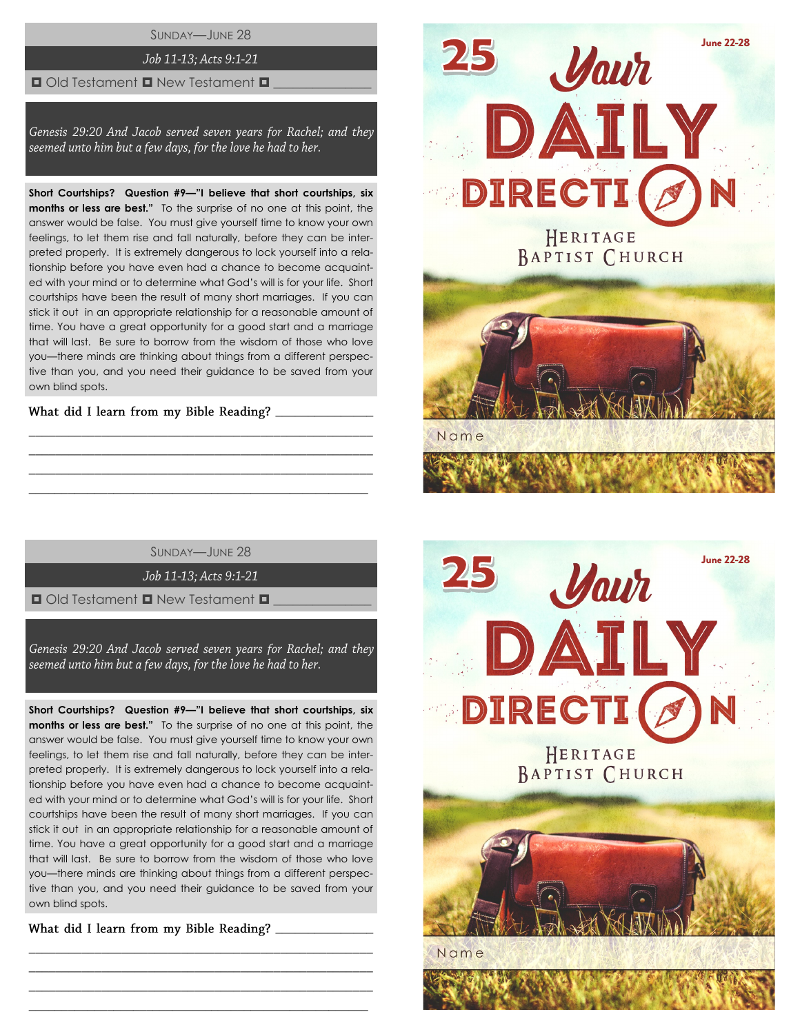SUNDAY—JUNE 28

# Job 11-13; Acts 9:1-21

#### $\Box$  Old Testament  $\Box$  New Testament  $\Box$

Genesis 29:20 And Jacob served seven years for Rachel; and they seemed unto him but a few days, for the love he had to her.

**Short Courtships? Question #9—"I believe that short courtships, six months or less are best."** To the surprise of no one at this point, the answer would be false. You must give yourself time to know your own feelings, to let them rise and fall naturally, before they can be interpreted properly. It is extremely dangerous to lock yourself into a relationship before you have even had a chance to become acquainted with your mind or to determine what God's will is for your life. Short courtships have been the result of many short marriages. If you can stick it out in an appropriate relationship for a reasonable amount of time. You have a great opportunity for a good start and a marriage that will last. Be sure to borrow from the wisdom of those who love you—there minds are thinking about things from a different perspective than you, and you need their guidance to be saved from your own blind spots.

\_\_\_\_\_\_\_\_\_\_\_\_\_\_\_

SUNDAY—JUNE 28

\_\_\_\_\_\_\_\_\_\_\_\_\_\_\_\_\_\_\_\_\_\_\_\_\_\_\_\_\_\_\_\_\_\_\_\_\_\_\_\_\_\_\_\_\_\_\_\_\_\_\_\_ \_\_\_\_\_\_\_\_\_\_\_\_\_\_\_\_\_\_\_\_\_\_\_\_\_\_\_\_\_\_\_\_\_\_\_\_\_\_\_\_\_\_\_\_\_\_\_\_\_\_\_\_ \_\_\_\_\_\_\_\_\_\_\_\_\_\_\_\_\_\_\_\_\_\_\_\_\_\_\_\_\_\_\_\_\_\_\_\_\_\_\_\_\_\_\_\_\_\_\_\_\_\_\_\_ \_\_\_\_\_\_\_\_\_\_\_\_\_\_\_\_\_\_\_\_\_\_\_\_\_\_\_\_\_\_\_\_\_\_\_\_\_\_\_\_\_\_\_\_\_\_\_\_\_\_\_\_

Job 11-13; Acts 9:1-21

 $\Box$  Old Testament  $\Box$  New Testament  $\Box$ 

Genesis 29:20 And Jacob served seven years for Rachel; and they seemed unto him but a few days, for the love he had to her.

**Short Courtships? Question #9—"I believe that short courtships, six months or less are best."** To the surprise of no one at this point, the answer would be false. You must give yourself time to know your own feelings, to let them rise and fall naturally, before they can be interpreted properly. It is extremely dangerous to lock yourself into a relationship before you have even had a chance to become acquainted with your mind or to determine what God's will is for your life. Short courtships have been the result of many short marriages. If you can stick it out in an appropriate relationship for a reasonable amount of time. You have a great opportunity for a good start and a marriage that will last. Be sure to borrow from the wisdom of those who love you—there minds are thinking about things from a different perspective than you, and you need their guidance to be saved from your own blind spots.

\_\_\_\_\_\_\_\_\_\_\_\_\_\_\_\_\_\_\_\_\_\_\_\_\_\_\_\_\_\_\_\_\_\_\_\_\_\_\_\_\_\_\_\_\_\_\_\_\_\_\_\_ \_\_\_\_\_\_\_\_\_\_\_\_\_\_\_\_\_\_\_\_\_\_\_\_\_\_\_\_\_\_\_\_\_\_\_\_\_\_\_\_\_\_\_\_\_\_\_\_\_\_\_\_ \_\_\_\_\_\_\_\_\_\_\_\_\_\_\_\_\_\_\_\_\_\_\_\_\_\_\_\_\_\_\_\_\_\_\_\_\_\_\_\_\_\_\_\_\_\_\_\_\_\_\_\_ \_\_\_\_\_\_\_\_\_\_\_\_\_\_\_\_\_\_\_\_\_\_\_\_\_\_\_\_\_\_\_\_\_\_\_\_\_\_\_\_\_\_\_\_\_\_\_\_\_\_\_\_

What did I learn from my Bible Reading? \_\_\_\_\_\_\_\_\_\_



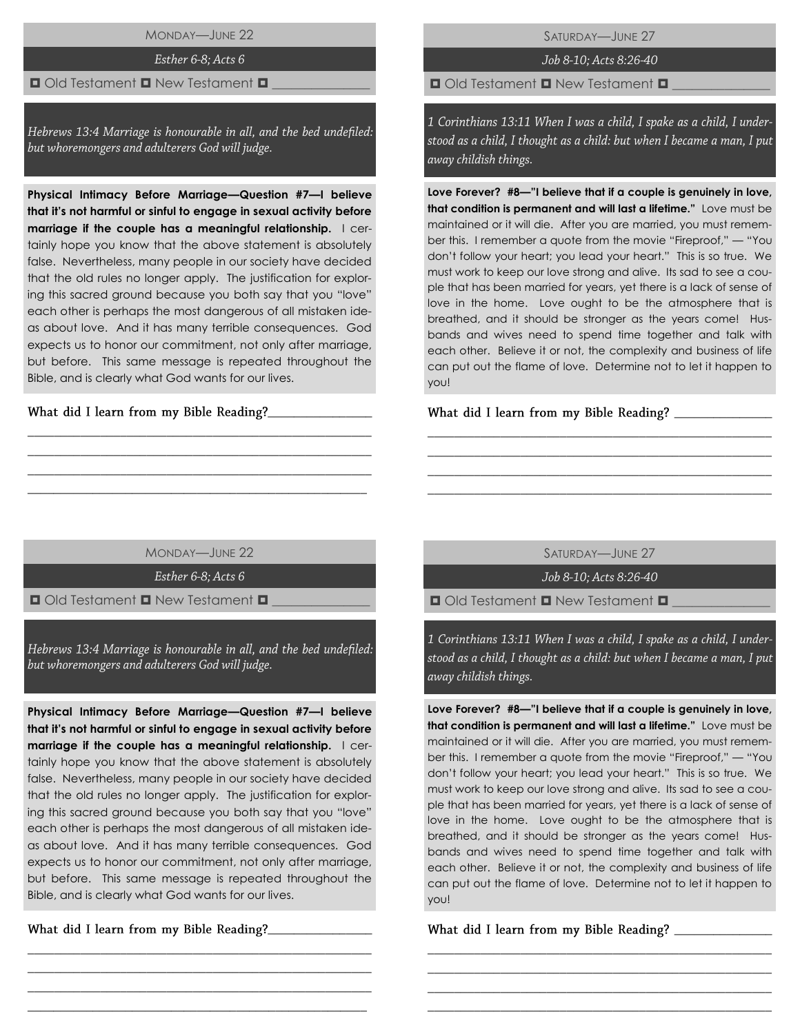MONDAY—JUNE 22

Esther 6-8; Acts 6

#### $\Box$  Old Testament  $\Box$  New Testament  $\Box$

Hebrews 13:4 Marriage is honourable in all, and the bed undefiled: but whoremongers and adulterers God will judge.

**Physical Intimacy Before Marriage—Question #7—I believe that it's not harmful or sinful to engage in sexual activity before marriage if the couple has a meaningful relationship.** I certainly hope you know that the above statement is absolutely false. Nevertheless, many people in our society have decided that the old rules no longer apply. The justification for exploring this sacred ground because you both say that you "love" each other is perhaps the most dangerous of all mistaken ideas about love. And it has many terrible consequences. God expects us to honor our commitment, not only after marriage, but before. This same message is repeated throughout the Bible, and is clearly what God wants for our lives.

What did I learn from my Bible Reading?\_\_\_\_

SATURDAY—JUNE 27

Job 8-10; Acts 8:26-40

 $\Box$  Old Testament  $\Box$  New Testament  $\Box$ 

1 Corinthians 13:11 When I was a child, I spake as a child, I understood as a child, I thought as a child: but when I became a man, I put away childish things.

**Love Forever? #8—"I believe that if a couple is genuinely in love, that condition is permanent and will last a lifetime."** Love must be maintained or it will die. After you are married, you must remember this. I remember a quote from the movie "Fireproof," — "You don't follow your heart; you lead your heart." This is so true. We must work to keep our love strong and alive. Its sad to see a couple that has been married for years, yet there is a lack of sense of love in the home. Love ought to be the atmosphere that is breathed, and it should be stronger as the years come! Husbands and wives need to spend time together and talk with each other. Believe it or not, the complexity and business of life can put out the flame of love. Determine not to let it happen to you!

What did I learn from my Bible Reading? \_\_\_\_\_\_\_

MONDAY—JUNE 22

\_\_\_\_\_\_\_\_\_\_\_\_\_\_\_\_\_\_\_\_\_\_\_\_\_\_\_\_\_\_\_\_\_\_\_\_\_\_\_\_\_\_\_\_\_\_\_\_\_\_\_\_ \_\_\_\_\_\_\_\_\_\_\_\_\_\_\_\_\_\_\_\_\_\_\_\_\_\_\_\_\_\_\_\_\_\_\_\_\_\_\_\_\_\_\_\_\_\_\_\_\_\_\_\_ \_\_\_\_\_\_\_\_\_\_\_\_\_\_\_\_\_\_\_\_\_\_\_\_\_\_\_\_\_\_\_\_\_\_\_\_\_\_\_\_\_\_\_\_\_\_\_\_\_\_\_\_ \_\_\_\_\_\_\_\_\_\_\_\_\_\_\_\_\_\_\_\_\_\_\_\_\_\_\_\_\_\_\_\_\_\_\_\_\_\_\_\_\_\_\_\_\_\_\_\_\_\_\_\_

Esther 6-8; Acts 6

 $\Box$  Old Testament  $\Box$  New Testament  $\Box$ 

Hebrews 13:4 Marriage is honourable in all, and the bed undefiled: but whoremongers and adulterers God will judge.

**Physical Intimacy Before Marriage—Question #7—I believe that it's not harmful or sinful to engage in sexual activity before marriage if the couple has a meaningful relationship.** I certainly hope you know that the above statement is absolutely false. Nevertheless, many people in our society have decided that the old rules no longer apply. The justification for exploring this sacred ground because you both say that you "love" each other is perhaps the most dangerous of all mistaken ideas about love. And it has many terrible consequences. God expects us to honor our commitment, not only after marriage, but before. This same message is repeated throughout the Bible, and is clearly what God wants for our lives.

\_\_\_\_\_\_\_\_\_\_\_\_\_\_\_\_\_\_\_\_\_\_\_\_\_\_\_\_\_\_\_\_\_\_\_\_\_\_\_\_\_\_\_\_\_\_\_\_\_\_\_\_ \_\_\_\_\_\_\_\_\_\_\_\_\_\_\_\_\_\_\_\_\_\_\_\_\_\_\_\_\_\_\_\_\_\_\_\_\_\_\_\_\_\_\_\_\_\_\_\_\_\_\_\_ \_\_\_\_\_\_\_\_\_\_\_\_\_\_\_\_\_\_\_\_\_\_\_\_\_\_\_\_\_\_\_\_\_\_\_\_\_\_\_\_\_\_\_\_\_\_\_\_\_\_\_\_ \_\_\_\_\_\_\_\_\_\_\_\_\_\_\_\_\_\_\_\_\_\_\_\_\_\_\_\_\_\_\_\_\_\_\_\_\_\_\_\_\_\_\_\_\_\_\_\_\_\_\_\_

\_\_\_\_\_\_\_\_\_\_\_\_\_\_\_\_

SATURDAY—JUNE 27

\_\_\_\_\_\_\_\_\_\_\_\_\_\_\_\_\_\_\_\_\_\_\_\_\_\_\_\_\_\_\_\_\_\_\_\_\_\_\_\_\_\_\_\_\_\_\_\_\_\_\_\_ \_\_\_\_\_\_\_\_\_\_\_\_\_\_\_\_\_\_\_\_\_\_\_\_\_\_\_\_\_\_\_\_\_\_\_\_\_\_\_\_\_\_\_\_\_\_\_\_\_\_\_\_ \_\_\_\_\_\_\_\_\_\_\_\_\_\_\_\_\_\_\_\_\_\_\_\_\_\_\_\_\_\_\_\_\_\_\_\_\_\_\_\_\_\_\_\_\_\_\_\_\_\_\_\_ \_\_\_\_\_\_\_\_\_\_\_\_\_\_\_\_\_\_\_\_\_\_\_\_\_\_\_\_\_\_\_\_\_\_\_\_\_\_\_\_\_\_\_\_\_\_\_\_\_\_\_\_

Job 8-10: Acts 8:26-40

 $\Box$  Old Testament  $\Box$  New Testament  $\Box$ 

1 Corinthians 13:11 When I was a child, I spake as a child, I understood as a child, I thought as a child: but when I became a man, I put away childish things.

**Love Forever? #8—"I believe that if a couple is genuinely in love, that condition is permanent and will last a lifetime."** Love must be maintained or it will die. After you are married, you must remember this. I remember a quote from the movie "Fireproof," — "You don't follow your heart; you lead your heart." This is so true. We must work to keep our love strong and alive. Its sad to see a couple that has been married for years, yet there is a lack of sense of love in the home. Love ought to be the atmosphere that is breathed, and it should be stronger as the years come! Husbands and wives need to spend time together and talk with each other. Believe it or not, the complexity and business of life can put out the flame of love. Determine not to let it happen to you!

\_\_\_\_\_\_\_\_\_\_\_\_\_\_\_\_\_\_\_\_\_\_\_\_\_\_\_\_\_\_\_\_\_\_\_\_\_\_\_\_\_\_\_\_\_\_\_\_\_\_\_\_ \_\_\_\_\_\_\_\_\_\_\_\_\_\_\_\_\_\_\_\_\_\_\_\_\_\_\_\_\_\_\_\_\_\_\_\_\_\_\_\_\_\_\_\_\_\_\_\_\_\_\_\_ \_\_\_\_\_\_\_\_\_\_\_\_\_\_\_\_\_\_\_\_\_\_\_\_\_\_\_\_\_\_\_\_\_\_\_\_\_\_\_\_\_\_\_\_\_\_\_\_\_\_\_\_ \_\_\_\_\_\_\_\_\_\_\_\_\_\_\_\_\_\_\_\_\_\_\_\_\_\_\_\_\_\_\_\_\_\_\_\_\_\_\_\_\_\_\_\_\_\_\_\_\_\_\_\_

What did I learn from my Bible Reading?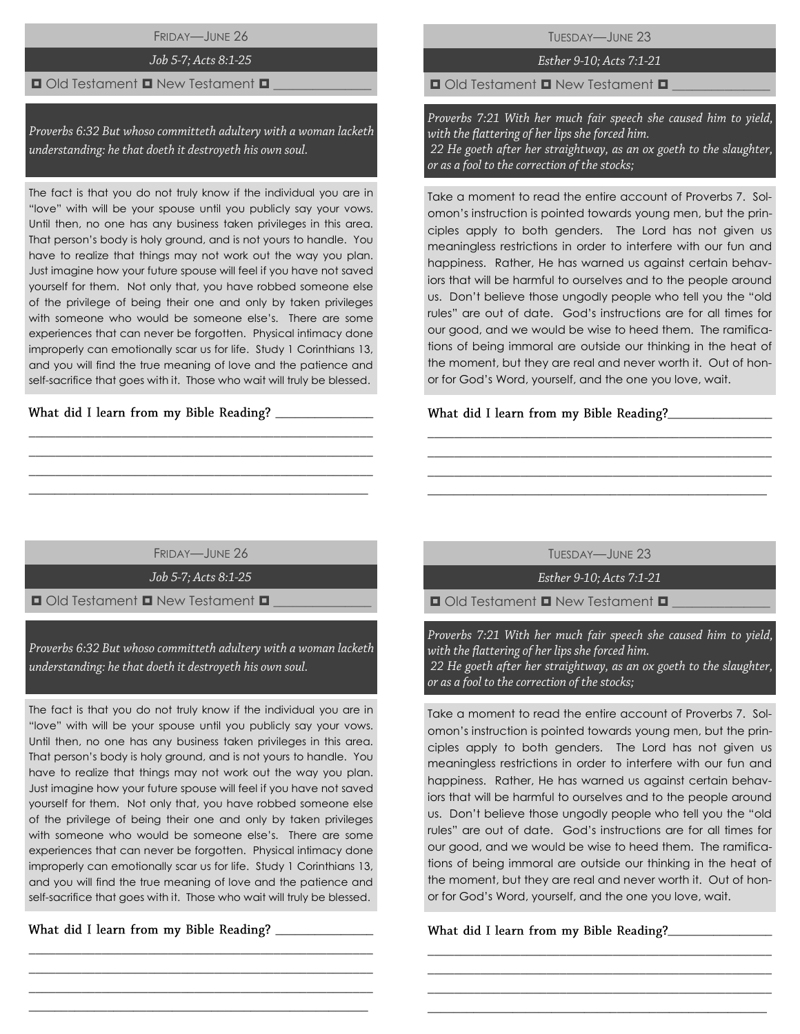FRIDAY—JUNE 26

# Job 5-7; Acts 8:1-25

#### $\blacksquare$  Old Testament  $\blacksquare$  New Testament  $\blacksquare$

Proverbs 6:32 But whoso committeth adultery with a woman lacketh understanding: he that doeth it destroyeth his own soul.

The fact is that you do not truly know if the individual you are in "love" with will be your spouse until you publicly say your vows. Until then, no one has any business taken privileges in this area. That person's body is holy ground, and is not yours to handle. You have to realize that things may not work out the way you plan. Just imagine how your future spouse will feel if you have not saved yourself for them. Not only that, you have robbed someone else of the privilege of being their one and only by taken privileges with someone who would be someone else's. There are some experiences that can never be forgotten. Physical intimacy done improperly can emotionally scar us for life. Study 1 Corinthians 13, and you will find the true meaning of love and the patience and self-sacrifice that goes with it. Those who wait will truly be blessed.

What did I learn from my Bible Reading?

TUESDAY—JUNE 23

# Esther 9-10; Acts 7:1-21

 $\Box$  Old Testament  $\Box$  New Testament  $\Box$ 

Proverbs 7:21 With her much fair speech she caused him to yield, with the flattering of her lips she forced him. 22 He goeth after her straightway, as an ox goeth to the slaughter, or as a fool to the correction of the stocks;

Take a moment to read the entire account of Proverbs 7. Solomon's instruction is pointed towards young men, but the principles apply to both genders. The Lord has not given us meaningless restrictions in order to interfere with our fun and happiness. Rather, He has warned us against certain behaviors that will be harmful to ourselves and to the people around us. Don't believe those ungodly people who tell you the "old rules" are out of date. God's instructions are for all times for our good, and we would be wise to heed them. The ramifications of being immoral are outside our thinking in the heat of the moment, but they are real and never worth it. Out of honor for God's Word, yourself, and the one you love, wait.

### **\_**\_\_\_\_\_\_\_\_\_\_\_\_\_\_\_

FRIDAY—JUNE 26

\_\_\_\_\_\_\_\_\_\_\_\_\_\_\_\_\_\_\_\_\_\_\_\_\_\_\_\_\_\_\_\_\_\_\_\_\_\_\_\_\_\_\_\_\_\_\_\_\_\_\_\_ \_\_\_\_\_\_\_\_\_\_\_\_\_\_\_\_\_\_\_\_\_\_\_\_\_\_\_\_\_\_\_\_\_\_\_\_\_\_\_\_\_\_\_\_\_\_\_\_\_\_\_\_ \_\_\_\_\_\_\_\_\_\_\_\_\_\_\_\_\_\_\_\_\_\_\_\_\_\_\_\_\_\_\_\_\_\_\_\_\_\_\_\_\_\_\_\_\_\_\_\_\_\_\_\_  $\_$  , and the set of the set of the set of the set of the set of the set of the set of the set of the set of the set of the set of the set of the set of the set of the set of the set of the set of the set of the set of th

Job 5-7; Acts 8:1-25

 $\Box$  Old Testament  $\Box$  New Testament  $\Box$ 

Proverbs 6:32 But whoso committeth adultery with a woman lacketh understanding: he that doeth it destroyeth his own soul.

The fact is that you do not truly know if the individual you are in "love" with will be your spouse until you publicly say your vows. Until then, no one has any business taken privileges in this area. That person's body is holy ground, and is not yours to handle. You have to realize that things may not work out the way you plan. Just imagine how your future spouse will feel if you have not saved yourself for them. Not only that, you have robbed someone else of the privilege of being their one and only by taken privileges with someone who would be someone else's. There are some experiences that can never be forgotten. Physical intimacy done improperly can emotionally scar us for life. Study 1 Corinthians 13, and you will find the true meaning of love and the patience and self-sacrifice that goes with it. Those who wait will truly be blessed.

\_\_\_\_\_\_\_\_\_\_\_\_\_\_\_\_\_\_\_\_\_\_\_\_\_\_\_\_\_\_\_\_\_\_\_\_\_\_\_\_\_\_\_\_\_\_\_\_\_\_\_\_ \_\_\_\_\_\_\_\_\_\_\_\_\_\_\_\_\_\_\_\_\_\_\_\_\_\_\_\_\_\_\_\_\_\_\_\_\_\_\_\_\_\_\_\_\_\_\_\_\_\_\_\_ \_\_\_\_\_\_\_\_\_\_\_\_\_\_\_\_\_\_\_\_\_\_\_\_\_\_\_\_\_\_\_\_\_\_\_\_\_\_\_\_\_\_\_\_\_\_\_\_\_\_\_\_  $\_$  , and the set of the set of the set of the set of the set of the set of the set of the set of the set of the set of the set of the set of the set of the set of the set of the set of the set of the set of the set of th

\_\_\_\_\_\_\_\_\_\_\_\_\_\_\_

TUESDAY—JUNE 23

\_\_\_\_\_\_\_\_\_\_\_\_\_\_\_\_\_\_\_\_\_\_\_\_\_\_\_\_\_\_\_\_\_\_\_\_\_\_\_\_\_\_\_\_\_\_\_\_\_\_\_\_ \_\_\_\_\_\_\_\_\_\_\_\_\_\_\_\_\_\_\_\_\_\_\_\_\_\_\_\_\_\_\_\_\_\_\_\_\_\_\_\_\_\_\_\_\_\_\_\_\_\_\_\_ \_\_\_\_\_\_\_\_\_\_\_\_\_\_\_\_\_\_\_\_\_\_\_\_\_\_\_\_\_\_\_\_\_\_\_\_\_\_\_\_\_\_\_\_\_\_\_\_\_\_\_\_ \_\_\_\_\_\_\_\_\_\_\_\_\_\_\_\_\_\_\_\_\_\_\_\_\_\_\_\_\_\_\_\_\_\_\_\_\_\_\_\_\_\_\_\_\_\_\_\_\_\_\_\_

Esther 9-10; Acts 7:1-21

 $\Box$  Old Testament  $\Box$  New Testament  $\Box$ 

Proverbs 7:21 With her much fair speech she caused him to yield, with the flattering of her lips she forced him. 22 He goeth after her straightway, as an ox goeth to the slaughter, or as a fool to the correction of the stocks;

Take a moment to read the entire account of Proverbs 7. Solomon's instruction is pointed towards young men, but the principles apply to both genders. The Lord has not given us meaningless restrictions in order to interfere with our fun and happiness. Rather, He has warned us against certain behaviors that will be harmful to ourselves and to the people around us. Don't believe those ungodly people who tell you the "old rules" are out of date. God's instructions are for all times for our good, and we would be wise to heed them. The ramifications of being immoral are outside our thinking in the heat of the moment, but they are real and never worth it. Out of honor for God's Word, yourself, and the one you love, wait.

\_\_\_\_\_\_\_\_\_\_\_\_\_\_\_\_\_\_\_\_\_\_\_\_\_\_\_\_\_\_\_\_\_\_\_\_\_\_\_\_\_\_\_\_\_\_\_\_\_\_\_\_ \_\_\_\_\_\_\_\_\_\_\_\_\_\_\_\_\_\_\_\_\_\_\_\_\_\_\_\_\_\_\_\_\_\_\_\_\_\_\_\_\_\_\_\_\_\_\_\_\_\_\_\_ \_\_\_\_\_\_\_\_\_\_\_\_\_\_\_\_\_\_\_\_\_\_\_\_\_\_\_\_\_\_\_\_\_\_\_\_\_\_\_\_\_\_\_\_\_\_\_\_\_\_\_\_ \_\_\_\_\_\_\_\_\_\_\_\_\_\_\_\_\_\_\_\_\_\_\_\_\_\_\_\_\_\_\_\_\_\_\_\_\_\_\_\_\_\_\_\_\_\_\_\_\_\_\_\_

What did I learn from my Bible Reading?